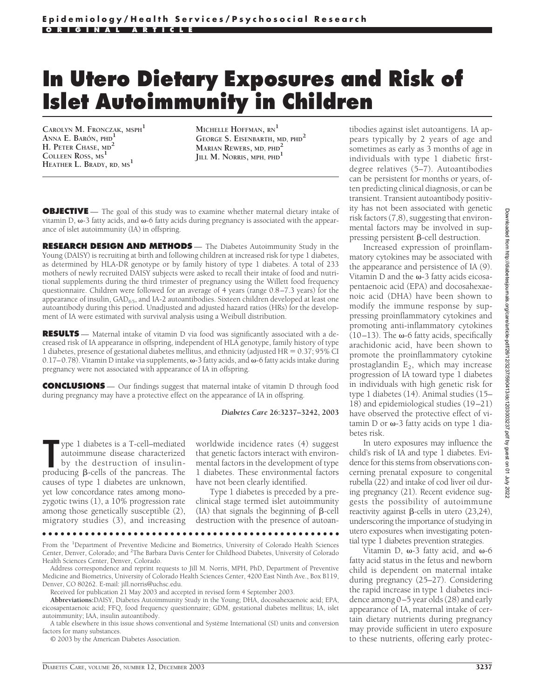# **In Utero Dietary Exposures and Risk of Islet Autoimmunity in Children**

**CAROLYN M. FRONCZAK, MSPH<sup>1</sup> ANNA E. BARON´ , PHD<sup>1</sup> H. PETER CHASE, MD<sup>2</sup> COLLEEN ROSS, MS<sup>1</sup> HEATHER L. BRADY, RD, MS1**

**MICHELLE HOFFMAN, RN<sup>1</sup> GEORGE S. EISENBARTH, MD, PHD<sup>2</sup> MARIAN REWERS, MD, PHD<sup>2</sup> JILL M. NORRIS, MPH, PHD<sup>1</sup>**

**OBJECTIVE** — The goal of this study was to examine whether maternal dietary intake of vitamin D,  $\omega$ -3 fatty acids, and  $\omega$ -6 fatty acids during pregnancy is associated with the appearance of islet autoimmunity (IA) in offspring.

**RESEARCH DESIGN AND METHODS** — The Diabetes Autoimmunity Study in the Young (DAISY) is recruiting at birth and following children at increased risk for type 1 diabetes, as determined by HLA-DR genotype or by family history of type 1 diabetes. A total of 233 mothers of newly recruited DAISY subjects were asked to recall their intake of food and nutritional supplements during the third trimester of pregnancy using the Willett food frequency questionnaire. Children were followed for an average of 4 years (range 0.8–7.3 years) for the appearance of insulin,  $GAD_{65}$ , and IA-2 autoantibodies. Sixteen children developed at least one autoantibody during this period. Unadjusted and adjusted hazard ratios (HRs) for the development of IA were estimated with survival analysis using a Weibull distribution.

**RESULTS** — Maternal intake of vitamin D via food was significantly associated with a decreased risk of IA appearance in offspring, independent of HLA genotype, family history of type 1 diabetes, presence of gestational diabetes mellitus, and ethnicity (adjusted  $HR = 0.37;95\%$  CI 0.17–0.78). Vitamin D intake via supplements,  $\omega$ -3 fatty acids, and  $\omega$ -6 fatty acids intake during pregnancy were not associated with appearance of IA in offspring.

**CONCLUSIONS** — Our findings suggest that maternal intake of vitamin D through food during pregnancy may have a protective effect on the appearance of IA in offspring.

#### *Diabetes Care* **26:3237–3242, 2003**

**The properties is a T-cell–mediated autoimmune disease characterized by the destruction of insulin-producing β-cells of the pancreas. The** ype 1 diabetes is a T-cell–mediated autoimmune disease characterized by the destruction of insulincauses of type 1 diabetes are unknown, yet low concordance rates among monozygotic twins (1), a 10% progression rate among those genetically susceptible (2), migratory studies (3), and increasing

worldwide incidence rates (4) suggest that genetic factors interact with environmental factors in the development of type 1 diabetes. These environmental factors have not been clearly identified.

Type 1 diabetes is preceded by a preclinical stage termed islet autoimmunity (IA) that signals the beginning of  $\beta$ -cell destruction with the presence of autoan-

●●●●●●●●●●●●●●●●●●●●●●●●●●●●●●●●●●●●●●●●●●●●●●●●●

From the <sup>1</sup>Department of Preventive Medicine and Biometrics, University of Colorado Health Sciences Center, Denver, Colorado; and <sup>2</sup>The Barbara Davis Center for Childhood Diabetes, University of Colorado Health Sciences Center, Denver, Colorado.

Address correspondence and reprint requests to Jill M. Norris, MPH, PhD, Department of Preventive Medicine and Biometrics, University of Colorado Health Sciences Center, 4200 East Ninth Ave., Box B119, Denver, CO 80262. E-mail: jill.norris@uchsc.edu.

Received for publication 21 May 2003 and accepted in revised form 4 September 2003.

**Abbreviations:**DAISY, Diabetes Autoimmunity Study in the Young; DHA, docosahexaenoic acid; EPA, eicosapentaenoic acid; FFQ, food frequency questionnaire; GDM, gestational diabetes mellitus; IA, islet autoimmunity; IAA, insulin autoantibody.

A table elsewhere in this issue shows conventional and Système International (SI) units and conversion factors for many substances.

© 2003 by the American Diabetes Association.

tibodies against islet autoantigens. IA appears typically by 2 years of age and sometimes as early as 3 months of age in individuals with type 1 diabetic firstdegree relatives (5–7). Autoantibodies can be persistent for months or years, often predicting clinical diagnosis, or can be transient. Transient autoantibody positivity has not been associated with genetic risk factors (7,8), suggesting that environmental factors may be involved in suppressing persistent  $\beta$ -cell destruction.

Increased expression of proinflammatory cytokines may be associated with the appearance and persistence of IA (9). Vitamin D and the  $\omega$ -3 fatty acids eicosapentaenoic acid (EPA) and docosahexaenoic acid (DHA) have been shown to modify the immune response by suppressing proinflammatory cytokines and promoting anti-inflammatory cytokines  $(10-13)$ . The  $\omega$ -6 fatty acids, specifically arachidonic acid, have been shown to promote the proinflammatory cytokine prostaglandin  $E_2$ , which may increase progression of IA toward type 1 diabetes in individuals with high genetic risk for type 1 diabetes (14). Animal studies (15– 18) and epidemiological studies (19–21) have observed the protective effect of vitamin D or  $\omega$ -3 fatty acids on type 1 diabetes risk.

Downloaded from http://diabetesjournals.org/care/article-pdf/26/12/3237/590413/dc1203003237.pdf by guest on 01 July 2022 Downloaded from http://diabetesjournals.org/care/article-pdf/26/12/3237/590413/dc1203003237.pdf by guest on 01 July 2022

In utero exposures may influence the child's risk of IA and type 1 diabetes. Evidence for this stems from observations concerning prenatal exposure to congenital rubella (22) and intake of cod liver oil during pregnancy (21). Recent evidence suggests the possibility of autoimmune reactivity against  $\beta$ -cells in utero (23,24), underscoring the importance of studying in utero exposures when investigating potential type 1 diabetes prevention strategies.

Vitamin D,  $\omega$ -3 fatty acid, and  $\omega$ -6 fatty acid status in the fetus and newborn child is dependent on maternal intake during pregnancy (25–27). Considering the rapid increase in type 1 diabetes incidence among 0–5 year olds (28) and early appearance of IA, maternal intake of certain dietary nutrients during pregnancy may provide sufficient in utero exposure to these nutrients, offering early protec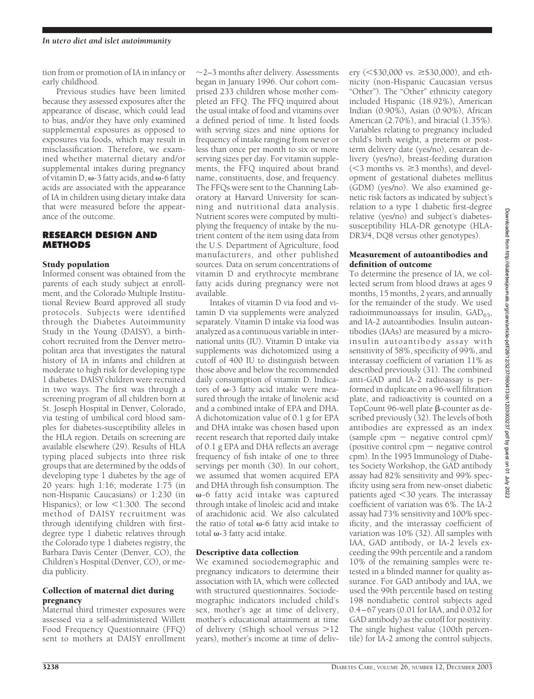tion from or promotion of IA in infancy or early childhood.

Previous studies have been limited because they assessed exposures after the appearance of disease, which could lead to bias, and/or they have only examined supplemental exposures as opposed to exposures via foods, which may result in misclassification. Therefore, we examined whether maternal dietary and/or supplemental intakes during pregnancy of vitamin D,  $\omega$ -3 fatty acids, and  $\omega$ -6 fatty acids are associated with the appearance of IA in children using dietary intake data that were measured before the appearance of the outcome.

## **RESEARCH DESIGN AND METHODS**

## Study population

Informed consent was obtained from the parents of each study subject at enrollment, and the Colorado Multiple Institutional Review Board approved all study protocols. Subjects were identified through the Diabetes Autoimmunity Study in the Young (DAISY), a birthcohort recruited from the Denver metropolitan area that investigates the natural history of IA in infants and children at moderate to high risk for developing type 1 diabetes. DAISY children were recruited in two ways. The first was through a screening program of all children born at St. Joseph Hospital in Denver, Colorado, via testing of umbilical cord blood samples for diabetes-susceptibility alleles in the HLA region. Details on screening are available elsewhere (29). Results of HLA typing placed subjects into three risk groups that are determined by the odds of developing type 1 diabetes by the age of 20 years: high 1:16; moderate 1:75 (in non-Hispanic Caucasians) or 1:230 (in Hispanics); or low  $\leq$ 1:300. The second method of DAISY recruitment was through identifying children with firstdegree type 1 diabetic relatives through the Colorado type 1 diabetes registry, the Barbara Davis Center (Denver, CO), the Children's Hospital (Denver, CO), or media publicity.

#### Collection of maternal diet during pregnancy

Maternal third trimester exposures were assessed via a self-administered Willett Food Frequency Questionnaire (FFQ) sent to mothers at DAISY enrollment

 $\sim$ 2–3 months after delivery. Assessments began in January 1996. Our cohort comprised 233 children whose mother completed an FFQ. The FFQ inquired about the usual intake of food and vitamins over a defined period of time. It listed foods with serving sizes and nine options for frequency of intake ranging from never or less than once per month to six or more serving sizes per day. For vitamin supplements, the FFQ inquired about brand name, constituents, dose, and frequency. The FFQs were sent to the Channing Laboratory at Harvard University for scanning and nutritional data analysis. Nutrient scores were computed by multiplying the frequency of intake by the nutrient content of the item using data from the U.S. Department of Agriculture, food manufacturers, and other published sources. Data on serum concentrations of vitamin D and erythrocyte membrane fatty acids during pregnancy were not available.

Intakes of vitamin D via food and vitamin D via supplements were analyzed separately. Vitamin D intake via food was analyzed as a continuous variable in international units (IU). Vitamin D intake via supplements was dichotomized using a cutoff of 400 IU to distinguish between those above and below the recommended daily consumption of vitamin D. Indicators of  $\omega$ -3 fatty acid intake were measured through the intake of linolenic acid and a combined intake of EPA and DHA. A dichotomization value of 0.1 g for EPA and DHA intake was chosen based upon recent research that reported daily intake of 0.1 g EPA and DHA reflects an average frequency of fish intake of one to three servings per month (30). In our cohort, we assumed that women acquired EPA and DHA through fish consumption. The -6 fatty acid intake was captured through intake of linoleic acid and intake of arachidonic acid. We also calculated the ratio of total  $\omega$ -6 fatty acid intake to total  $\omega$ -3 fatty acid intake.

# Descriptive data collection

We examined sociodemographic and pregnancy indicators to determine their association with IA, which were collected with structured questionnaires. Sociodemographic indicators included child's sex, mother's age at time of delivery, mother's educational attainment at time of delivery ( $\leq$ high school versus  $>12$ years), mother's income at time of deliv-

ery (<\$30,000 vs. ≥\$30,000), and ethnicity (non-Hispanic Caucasian versus "Other"). The "Other" ethnicity category included Hispanic (18.92%), American Indian (0.90%), Asian (0.90%), African American (2.70%), and biracial (1.35%). Variables relating to pregnancy included child's birth weight, a preterm or postterm delivery date (yes/no), cesarean delivery (yes/no), breast-feeding duration  $(<$ 3 months vs.  $\geq$ 3 months), and development of gestational diabetes mellitus (GDM) (yes/no). We also examined genetic risk factors as indicated by subject's relation to a type 1 diabetic first-degree relative (yes/no) and subject's diabetessusceptibility HLA-DR genotype (HLA-DR3/4, DQ8 versus other genotypes).

## Measurement of autoantibodies and definition of outcome

To determine the presence of IA, we collected serum from blood draws at ages 9 months, 15 months, 2 years, and annually for the remainder of the study. We used radioimmunoassays for insulin,  $GAD_{65}$ , and IA-2 autoantibodies. Insulin autoantibodies (IAAs) are measured by a microinsulin autoantibody assay with sensitivity of 58%, specificity of 99%, and interassay coefficient of variation 11% as described previously (31). The combined anti-GAD and IA-2 radioassay is performed in duplicate on a 96-well filtration plate, and radioactivity is counted on a TopCount 96-well plate **B**-counter as described previously (32). The levels of both antibodies are expressed as an index  $(sample\;cpm - negative\;control\;cpm)$ / (positive control cpm  $-$  negative control cpm). In the 1995 Immunology of Diabetes Society Workshop, the GAD antibody assay had 82% sensitivity and 99% specificity using sera from new-onset diabetic patients aged 30 years. The interassay coefficient of variation was 6%. The IA-2 assay had 73% sensitivity and 100% specificity, and the interassay coefficient of variation was 10% (32). All samples with IAA, GAD antibody, or IA-2 levels exceeding the 99th percentile and a random 10% of the remaining samples were retested in a blinded manner for quality assurance. For GAD antibody and IAA, we used the 99th percentile based on testing 198 nondiabetic control subjects aged 0.4–67 years (0.01 for IAA, and 0.032 for GAD antibody) as the cutoff for positivity. The single highest value (100th percentile) for IA-2 among the control subjects,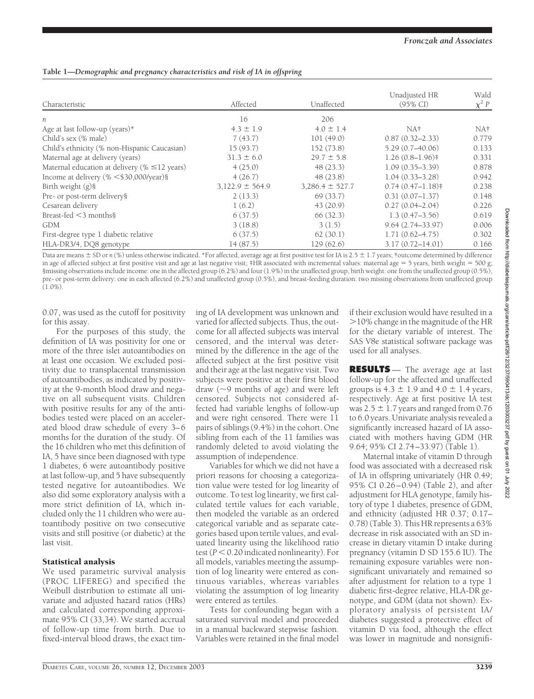| Characteristic                                     | Affected            | Unaffected          | Unadjusted HR<br>$(95\% \text{ CI})$ | Wald<br>$\chi^2 P$ |
|----------------------------------------------------|---------------------|---------------------|--------------------------------------|--------------------|
| n                                                  | 16                  | 206                 |                                      |                    |
| Age at last follow-up (years)*                     | $4.3 \pm 1.9$       | $4.0 \pm 1.4$       | NA†                                  | NA†                |
| Child's sex (% male)                               | 7(43.7)             | 101(49.0)           | $0.87(0.32 - 2.33)$                  | 0.779              |
| Child's ethnicity (% non-Hispanic Caucasian)       | 15(93.7)            | 152 (73.8)          | $5.29(0.7-40.06)$                    | 0.133              |
| Maternal age at delivery (years)                   | $31.3 \pm 6.0$      | $29.7 \pm 5.8$      | $1.26(0.8-1.96)$                     | 0.331              |
| Maternal education at delivery (% $\leq$ 12 years) | 4(25.0)             | 48(23.3)            | $1.09(0.35 - 3.39)$                  | 0.878              |
| Income at delivery (% <\$30,000/year)§             | 4(26.7)             | 48(23.8)            | $1.04(0.33 - 3.28)$                  | 0.942              |
| Birth weight (g)§                                  | $3,122.9 \pm 564.9$ | $3,286.4 \pm 527.7$ | $0.74(0.47 - 1.18)$                  | 0.238              |
| Pre- or post-term delivery§                        | 2(13.3)             | 69 (33.7)           | $0.31(0.07 - 1.37)$                  | 0.148              |
| Cesarean delivery                                  | 1(6.2)              | 43(20.9)            | $0.27(0.04 - 2.04)$                  | 0.226              |
| Breast-fed <3 months§                              | 6(37.5)             | 66(32.3)            | $1.3(0.47-3.56)$                     | 0.619              |
| <b>GDM</b>                                         | 3(18.8)             | 3(1.5)              | $9.64(2.74 - 33.97)$                 | 0.006              |
| First-degree type 1 diabetic relative              | 6(37.5)             | 62(30.1)            | $1.71(0.62 - 4.75)$                  | 0.302              |
| HLA-DR3/4, DQ8 genotype                            | 14(87.5)            | 129(62.6)           | $3.17(0.72 - 14.01)$                 | 0.166              |

# **Table 1—***Demographic and pregnancy characteristics and risk of IA in offspring*

Data are means  $\pm$  SD or *n* (%) unless otherwise indicated. \*For affected, average age at first positive test for IA is 2.5  $\pm$  1.7 years; †outcome determined by difference in age of affected subject at first positive visit and age at last negative visit; #HR associated with incremental values: maternal age = 5 years, birth weight = 500 g; §missing observations include income: one in the affected group (6.2%) and four (1.9%) in the unaffected group, birth weight: one from the unaffected group (0.5%), pre- or post-term delivery: one in each affected (6.2%) and unaffected group (0.5%), and breast-feeding duration: two missing observations from unaffected group  $(1.0\%)$ 

0.07, was used as the cutoff for positivity for this assay.

For the purposes of this study, the definition of IA was positivity for one or more of the three islet autoantibodies on at least one occasion. We excluded positivity due to transplacental transmission of autoantibodies, as indicated by positivity at the 9-month blood draw and negative on all subsequent visits. Children with positive results for any of the antibodies tested were placed on an accelerated blood draw schedule of every 3–6 months for the duration of the study. Of the 16 children who met this definition of IA, 5 have since been diagnosed with type 1 diabetes, 6 were autoantibody positive at last follow-up, and 5 have subsequently tested negative for autoantibodies. We also did some exploratory analysis with a more strict definition of IA, which included only the 11 children who were autoantibody positive on two consecutive visits and still positive (or diabetic) at the last visit.

# Statistical analysis

We used parametric survival analysis (PROC LIFEREG) and specified the Weibull distribution to estimate all univariate and adjusted hazard ratios (HRs) and calculated corresponding approximate 95% CI (33,34). We started accrual of follow-up time from birth. Due to fixed-interval blood draws, the exact timing of IA development was unknown and varied for affected subjects. Thus, the outcome for all affected subjects was interval censored, and the interval was determined by the difference in the age of the affected subject at the first positive visit and their age at the last negative visit. Two subjects were positive at their first blood draw  $(\sim)9$  months of age) and were left censored. Subjects not considered affected had variable lengths of follow-up and were right censored. There were 11 pairs of siblings (9.4%) in the cohort. One sibling from each of the 11 families was randomly deleted to avoid violating the assumption of independence.

Variables for which we did not have a priori reasons for choosing a categorization value were tested for log linearity of outcome. To test log linearity, we first calculated tertile values for each variable, then modeled the variable as an ordered categorical variable and as separate categories based upon tertile values, and evaluated linearity using the likelihood ratio test  $(P < 0.20$  indicated nonlinearity). For all models, variables meeting the assumption of log linearity were entered as continuous variables, whereas variables violating the assumption of log linearity were entered as tertiles.

Tests for confounding began with a saturated survival model and proceeded in a manual backward stepwise fashion. Variables were retained in the final model if their exclusion would have resulted in a  $>$ 10% change in the magnitude of the HR for the dietary variable of interest. The SAS V8e statistical software package was used for all analyses.

**RESULTS** — The average age at last follow-up for the affected and unaffected groups is  $4.3 \pm 1.9$  and  $4.0 \pm 1.4$  years, respectively. Age at first positive IA test was  $2.5 \pm 1.7$  years and ranged from 0.76 to 6.0 years. Univariate analysis revealed a significantly increased hazard of IA associated with mothers having GDM (HR 9.64; 95% CI 2.74–33.97) (Table 1).

Maternal intake of vitamin D through food was associated with a decreased risk of IA in offspring univariately (HR 0.49; 95% CI 0.26–0.94) (Table 2), and after adjustment for HLA genotype, family history of type 1 diabetes, presence of GDM, and ethnicity (adjusted HR 0.37; 0.17– 0.78) (Table 3). This HR represents a 63% decrease in risk associated with an SD increase in dietary vitamin D intake during pregnancy (vitamin D SD 155.6 IU). The remaining exposure variables were nonsignificant univariately and remained so after adjustment for relation to a type 1 diabetic first-degree relative, HLA-DR genotype, and GDM (data not shown). Exploratory analysis of persistent IA/ diabetes suggested a protective effect of vitamin D via food, although the effect was lower in magnitude and nonsignifi-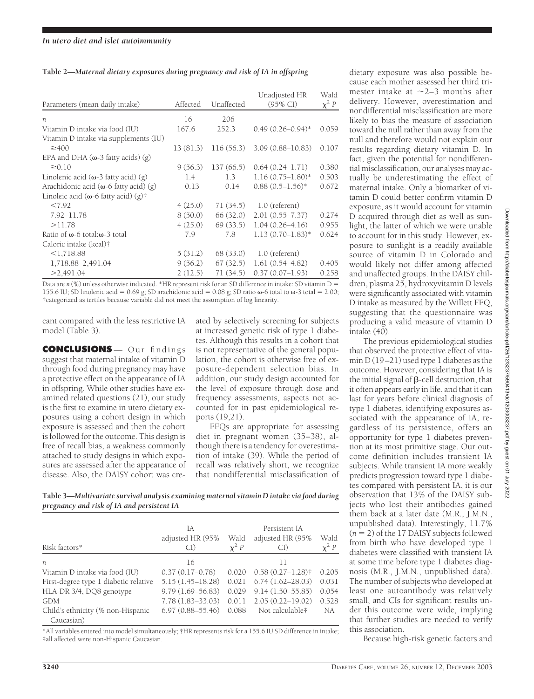**Table 2—***Maternal dietary exposures during pregnancy and risk of IA in offspring*

| Parameters (mean daily intake)                 | Affected | Unaffected | Unadjusted HR<br>$(95\% \text{ CI})$ | Wald<br>$\chi^2 P$ |
|------------------------------------------------|----------|------------|--------------------------------------|--------------------|
| n                                              | 16       | 206        |                                      |                    |
| Vitamin D intake via food (IU)                 | 167.6    | 252.3      | $0.49(0.26 - 0.94)$ *                | 0.059              |
| Vitamin D intake via supplements (IU)          |          |            |                                      |                    |
| $\geq 400$                                     | 13(81.3) | 116(56.3)  | $3.09(0.88 - 10.83)$                 | 0.107              |
| EPA and DHA ( $\omega$ -3 fatty acids) (g)     |          |            |                                      |                    |
| $\geq 0.10$                                    | 9(56.3)  | 137(66.5)  | $0.64(0.24 - 1.71)$                  | 0.380              |
| Linolenic acid ( $\omega$ -3 fatty acid) (g)   | 1.4      | 1.3        | $1.16(0.75 - 1.80)^*$                | 0.503              |
| Arachidonic acid ( $\omega$ -6 fatty acid) (g) | 0.13     | 0.14       | $0.88(0.5-1.56)$ *                   | 0.672              |
| Linoleic acid ( $\omega$ -6 fatty acid) (g)†   |          |            |                                      |                    |
| < 7.92                                         | 4(25.0)  | 71 (34.5)  | 1.0 (referent)                       |                    |
| 7.92-11.78                                     | 8(50.0)  | 66(32.0)   | $2.01(0.55 - 7.37)$                  | 0.274              |
| >11.78                                         | 4(25.0)  | 69(33.5)   | $1.04(0.26 - 4.16)$                  | 0.955              |
| Ratio of $\omega$ -6 total: $\omega$ -3 total  | 7.9      | 7.8        | $1.13(0.70 - 1.83)^*$                | 0.624              |
| Caloric intake (kcal)†                         |          |            |                                      |                    |
| $<$ 1,718.88                                   | 5(31.2)  | 68(33.0)   | 1.0 (referent)                       |                    |
| 1,718.88-2,491.04                              | 9(56.2)  | 67(32.5)   | $1.61(0.54 - 4.82)$                  | 0.405              |
| >2,491.04                                      | 2(12.5)  | 71(34.5)   | $0.37(0.07 - 1.93)$                  | 0.258              |

Data are *n* (%) unless otherwise indicated. \*HR represent risk for an SD difference in intake: SD vitamin D = 155.6 IU; SD linolenic acid =  $0.69$  g; SD arachidonic acid =  $0.08$  g; SD ratio  $\omega$ -6 total to  $\omega$ -3 total = 2.00; †categorized as tertiles because variable did not meet the assumption of log linearity.

cant compared with the less restrictive IA model (Table 3).

**CONCLUSIONS** — Our findings suggest that maternal intake of vitamin D through food during pregnancy may have a protective effect on the appearance of IA in offspring. While other studies have examined related questions (21), our study is the first to examine in utero dietary exposures using a cohort design in which exposure is assessed and then the cohort is followed for the outcome. This design is free of recall bias, a weakness commonly attached to study designs in which exposures are assessed after the appearance of disease. Also, the DAISY cohort was created by selectively screening for subjects at increased genetic risk of type 1 diabetes. Although this results in a cohort that is not representative of the general population, the cohort is otherwise free of exposure-dependent selection bias. In addition, our study design accounted for the level of exposure through dose and frequency assessments, aspects not accounted for in past epidemiological reports (19,21).

FFQs are appropriate for assessing diet in pregnant women (35–38), although there is a tendency for overestimation of intake (39). While the period of recall was relatively short, we recognize that nondifferential misclassification of

**Table 3—***Multivariate survival analysis examining maternal vitamin D intake via food during pregnancy and risk of IA and persistent IA*

|                                                 | IA                   |         | Persistent IA         |            |
|-------------------------------------------------|----------------------|---------|-----------------------|------------|
|                                                 | adjusted HR (95%     | Wald    | adjusted HR (95%      | Wald       |
| Risk factors*                                   | CI)                  | $x^2 P$ | CI)                   | $\chi^2$ P |
| n                                               | 16                   |         | 11                    |            |
| Vitamin D intake via food (IU)                  | $0.37(0.17-0.78)$    | 0.020   | $0.58(0.27 - 1.28)$ † | 0.205      |
| First-degree type 1 diabetic relative           | $5.15(1.45 - 18.28)$ | 0.021   | $6.74(1.62 - 28.03)$  | 0.031      |
| HLA-DR 3/4, DQ8 genotype                        | $9.79(1.69 - 56.83)$ | 0.029   | $9.14(1.50 - 55.85)$  | 0.054      |
| <b>GDM</b>                                      | $7.78(1.83 - 33.03)$ | 0.011   | $2.05(0.22 - 19.02)$  | 0.528      |
| Child's ethnicity (% non-Hispanic<br>Caucasian) | $6.97(0.88 - 55.46)$ | 0.088   | Not calculable#       | NA         |

\*All variables entered into model simultaneously; †HR represents risk for a 155.6 IU SD difference in intake; ‡all affected were non-Hispanic Caucasian.

dietary exposure was also possible because each mother assessed her third trimester intake at  $\sim$ 2-3 months after delivery. However, overestimation and nondifferential misclassification are more likely to bias the measure of association toward the null rather than away from the null and therefore would not explain our results regarding dietary vitamin D. In fact, given the potential for nondifferential misclassification, our analyses may actually be underestimating the effect of maternal intake. Only a biomarker of vitamin D could better confirm vitamin D exposure, as it would account for vitamin D acquired through diet as well as sunlight, the latter of which we were unable to account for in this study. However, exposure to sunlight is a readily available source of vitamin D in Colorado and would likely not differ among affected and unaffected groups. In the DAISY children, plasma 25, hydroxyvitamin D levels were significantly associated with vitamin D intake as measured by the Willett FFQ, suggesting that the questionnaire was producing a valid measure of vitamin D intake (40).

The previous epidemiological studies that observed the protective effect of vitamin D (19–21) used type 1 diabetes as the outcome. However, considering that IA is the initial signal of  $\beta$ -cell destruction, that it often appears early in life, and that it can last for years before clinical diagnosis of type 1 diabetes, identifying exposures associated with the appearance of IA, regardless of its persistence, offers an opportunity for type 1 diabetes prevention at its most primitive stage. Our outcome definition includes transient IA subjects. While transient IA more weakly predicts progression toward type 1 diabetes compared with persistent IA, it is our observation that 13% of the DAISY subjects who lost their antibodies gained them back at a later date (M.R., J.M.N., unpublished data). Interestingly, 11.7%  $(n = 2)$  of the 17 DAISY subjects followed from birth who have developed type 1 diabetes were classified with transient IA at some time before type 1 diabetes diagnosis (M.R., J.M.N., unpublished data). The number of subjects who developed at least one autoantibody was relatively small, and CIs for significant results under this outcome were wide, implying that further studies are needed to verify this association.

Because high-risk genetic factors and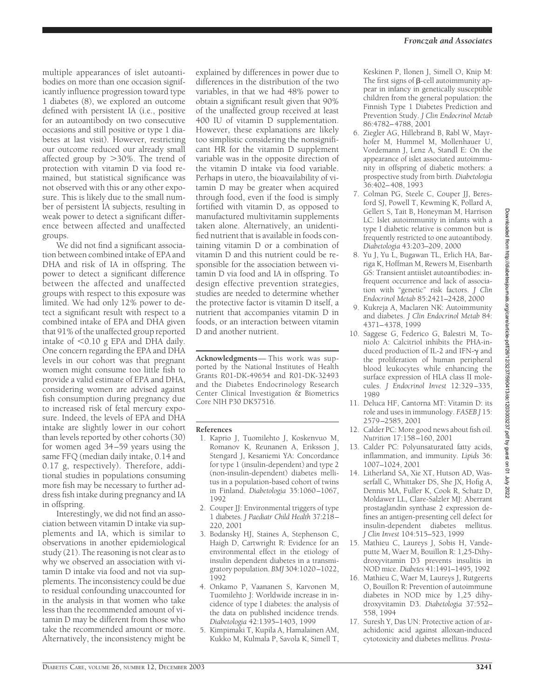multiple appearances of islet autoantibodies on more than one occasion significantly influence progression toward type 1 diabetes (8), we explored an outcome defined with persistent IA (i.e., positive for an autoantibody on two consecutive occasions and still positive or type 1 diabetes at last visit). However, restricting our outcome reduced our already small affected group by  $>30\%$ . The trend of protection with vitamin D via food remained, but statistical significance was not observed with this or any other exposure. This is likely due to the small number of persistent IA subjects, resulting in weak power to detect a significant difference between affected and unaffected groups.

We did not find a significant association between combined intake of EPA and DHA and risk of IA in offspring. The power to detect a significant difference between the affected and unaffected groups with respect to this exposure was limited. We had only 12% power to detect a significant result with respect to a combined intake of EPA and DHA given that 91% of the unaffected group reported intake of  $< 0.10$  g EPA and DHA daily. One concern regarding the EPA and DHA levels in our cohort was that pregnant women might consume too little fish to provide a valid estimate of EPA and DHA, considering women are advised against fish consumption during pregnancy due to increased risk of fetal mercury exposure. Indeed, the levels of EPA and DHA intake are slightly lower in our cohort than levels reported by other cohorts (30) for women aged 34–59 years using the same FFQ (median daily intake, 0.14 and 0.17 g, respectively). Therefore, additional studies in populations consuming more fish may be necessary to further address fish intake during pregnancy and IA in offspring.

Interestingly, we did not find an association between vitamin D intake via supplements and IA, which is similar to observations in another epidemiological study (21). The reasoning is not clear as to why we observed an association with vitamin D intake via food and not via supplements. The inconsistency could be due to residual confounding unaccounted for in the analysis in that women who take less than the recommended amount of vitamin D may be different from those who take the recommended amount or more. Alternatively, the inconsistency might be

explained by differences in power due to differences in the distribution of the two variables, in that we had 48% power to obtain a significant result given that 90% of the unaffected group received at least 400 IU of vitamin D supplementation. However, these explanations are likely too simplistic considering the nonsignificant HR for the vitamin D supplement variable was in the opposite direction of the vitamin D intake via food variable. Perhaps in utero, the bioavailability of vitamin D may be greater when acquired through food, even if the food is simply fortified with vitamin D, as opposed to manufactured multivitamin supplements taken alone. Alternatively, an unidentified nutrient that is available in foods containing vitamin D or a combination of vitamin D and this nutrient could be responsible for the association between vitamin D via food and IA in offspring. To design effective prevention strategies, studies are needed to determine whether the protective factor is vitamin D itself, a nutrient that accompanies vitamin D in foods, or an interaction between vitamin D and another nutrient.

**Acknowledgments**— This work was supported by the National Institutes of Health Grants R01-DK-49654 and R01-DK-32493 and the Diabetes Endocrinology Research Center Clinical Investigation & Biometrics Core NIH P30 DK57516.

#### **References**

- 1. Kaprio J, Tuomilehto J, Koskenvuo M, Romanov K, Reunanen A, Eriksson J, Stengard J, Kesaniemi YA: Concordance for type 1 (insulin-dependent) and type 2 (non-insulin-dependent) diabetes mellitus in a population-based cohort of twins in Finland. *Diabetologia* 35:1060–1067, 1992
- 2. Couper JJ: Environmental triggers of type 1 diabetes. *J Paediatr Child Health* 37:218– 220, 2001
- 3. Bodansky HJ, Staines A, Stephenson C, Haigh D, Cartwright R: Evidence for an environmental effect in the etiology of insulin dependent diabetes in a transmigratory population. *BMJ* 304:1020–1022, 1992
- 4. Onkamo P, Vaananen S, Karvonen M, Tuomilehto J: Worldwide increase in incidence of type I diabetes: the analysis of the data on published incidence trends. *Diabetologia* 42:1395–1403, 1999
- 5. Kimpimaki T, Kupila A, Hamalainen AM, Kukko M, Kulmala P, Savola K, Simell T,

Keskinen P, Ilonen J, Simell O, Knip M: The first signs of  $\beta$ -cell autoimmunity appear in infancy in genetically susceptible children from the general population: the Finnish Type 1 Diabetes Prediction and Prevention Study. *J Clin Endocrinol Metab* 86:4782–4788, 2001

- 6. Ziegler AG, Hillebrand B, Rabl W, Mayrhofer M, Hummel M, Mollenhauer U, Vordemann J, Lenz A, Standl E: On the appearance of islet associated autoimmunity in offspring of diabetic mothers: a prospective study from birth. *Diabetologia* 36:402–408, 1993
- 7. Colman PG, Steele C, Couper JJ, Beresford SJ, Powell T, Kewming K, Pollard A, Gellert S, Tait B, Honeyman M, Harrison LC: Islet autoimmunity in infants with a type I diabetic relative is common but is frequently restricted to one autoantibody. *Diabetologia* 43:203–209, 2000
- 8. Yu J, Yu L, Bugawan TL, Erlich HA, Barriga K, Hoffman M, Rewers M, Eisenbarth GS: Transient antiislet autoantibodies: infrequent occurrence and lack of association with "genetic" risk factors. *J Clin Endocrinol Metab* 85:2421–2428, 2000
- 9. Kukreja A, Maclaren NK: Autoimmunity and diabetes. *J Clin Endocrinol Metab* 84: 4371–4378, 1999
- 10. Saggese G, Federico G, Balestri M, Toniolo A: Calcitriol inhibits the PHA-induced production of IL-2 and IFN- $\gamma$  and the proliferation of human peripheral blood leukocytes while enhancing the surface expression of HLA class II molecules. *J Endocrinol Invest* 12:329–335, 1989
- 11. Deluca HF, Cantorna MT: Vitamin D: its role and uses in immunology. *FASEB J* 15: 2579–2585, 2001
- 12. Calder PC: More good news about fish oil. *Nutrition* 17:158–160, 2001
- 13. Calder PC: Polyunsaturated fatty acids, inflammation, and immunity. *Lipids* 36: 1007–1024, 2001
- 14. Litherland SA, Xie XT, Hutson AD, Wasserfall C, Whittaker DS, She JX, Hofig A, Dennis MA, Fuller K, Cook R, Schatz D, Moldawer LL, Clare-Salzler MJ: Aberrant prostaglandin synthase 2 expression defines an antigen-presenting cell defect for insulin-dependent diabetes mellitus. *J Clin Invest* 104:515–523, 1999
- 15. Mathieu C, Laureys J, Sobis H, Vandeputte M, Waer M, Bouillon R: 1,25-Dihydroxyvitamin D3 prevents insulitis in NOD mice. *Diabetes* 41:1491–1495, 1992
- 16. Mathieu C, Waer M, Laureys J, Rutgeerts O, Bouillon R: Prevention of autoimmune diabetes in NOD mice by 1,25 dihydroxyvitamin D3. *Diabetologia* 37:552– 558, 1994
- 17. Suresh Y, Das UN: Protective action of arachidonic acid against alloxan-induced cytotoxicity and diabetes mellitus. *Prosta-*